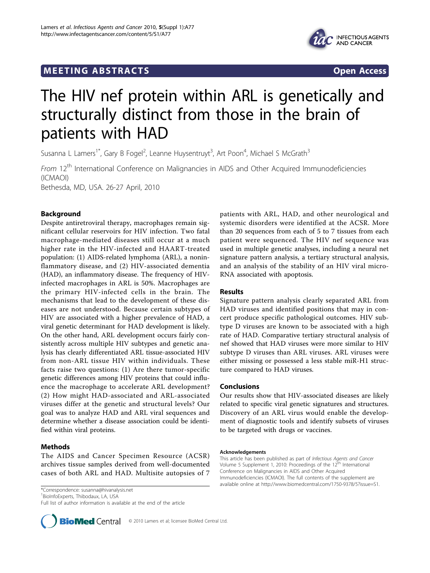# **MEETING ABSTRACTS** THE RESERVING ABSOLUTE A SERVICE SERVICES AND SERVICES OPEN ACCESS



# The HIV nef protein within ARL is genetically and structurally distinct from those in the brain of patients with HAD

Susanna L Lamers<sup>1\*</sup>, Gary B Fogel<sup>2</sup>, Leanne Huysentruyt<sup>3</sup>, Art Poon<sup>4</sup>, Michael S McGrath<sup>3</sup>

From 12<sup>th</sup> International Conference on Malignancies in AIDS and Other Acquired Immunodeficiencies (ICMAOI)

Bethesda, MD, USA. 26-27 April, 2010

# Background

Despite antiretroviral therapy, macrophages remain significant cellular reservoirs for HIV infection. Two fatal macrophage-mediated diseases still occur at a much higher rate in the HIV-infected and HAART-treated population: (1) AIDS-related lymphoma (ARL), a noninflammatory disease, and (2) HIV-associated dementia (HAD), an inflammatory disease. The frequency of HIVinfected macrophages in ARL is 50%. Macrophages are the primary HIV-infected cells in the brain. The mechanisms that lead to the development of these diseases are not understood. Because certain subtypes of HIV are associated with a higher prevalence of HAD, a viral genetic determinant for HAD development is likely. On the other hand, ARL development occurs fairly consistently across multiple HIV subtypes and genetic analysis has clearly differentiated ARL tissue-associated HIV from non-ARL tissue HIV within individuals. These facts raise two questions: (1) Are there tumor-specific genetic differences among HIV proteins that could influence the macrophage to accelerate ARL development? (2) How might HAD-associated and ARL-associated viruses differ at the genetic and structural levels? Our goal was to analyze HAD and ARL viral sequences and determine whether a disease association could be identified within viral proteins.

# Methods

The AIDS and Cancer Specimen Resource (ACSR) archives tissue samples derived from well-documented cases of both ARL and HAD. Multisite autopsies of 7

\*Correspondence: [susanna@hivanalysis.net](mailto:susanna@hivanalysis.net)

1 BioInfoExperts, Thibodaux, LA, USA

Full list of author information is available at the end of the article



patients with ARL, HAD, and other neurological and systemic disorders were identified at the ACSR. More than 20 sequences from each of 5 to 7 tissues from each patient were sequenced. The HIV nef sequence was used in multiple genetic analyses, including a neural net signature pattern analysis, a tertiary structural analysis, and an analysis of the stability of an HIV viral micro-RNA associated with apoptosis.

### Results

Signature pattern analysis clearly separated ARL from HAD viruses and identified positions that may in concert produce specific pathological outcomes. HIV subtype D viruses are known to be associated with a high rate of HAD. Comparative tertiary structural analysis of nef showed that HAD viruses were more similar to HIV subtype D viruses than ARL viruses. ARL viruses were either missing or possessed a less stable miR-H1 structure compared to HAD viruses.

#### Conclusions

Our results show that HIV-associated diseases are likely related to specific viral genetic signatures and structures. Discovery of an ARL virus would enable the development of diagnostic tools and identify subsets of viruses to be targeted with drugs or vaccines.

#### Acknowledgements

This article has been published as part of Infectious Agents and Cancer Volume 5 Supplement 1, 2010: Proceedings of the  $12^{th}$  International Conference on Malignancies in AIDS and Other Acquired Immunodeficiencies (ICMAOI). The full contents of the supplement are available online at [http://www.biomedcentral.com/1750-9378/5?issue=S1.](http://www.biomedcentral.com/1750-9378/5?issue=S1)